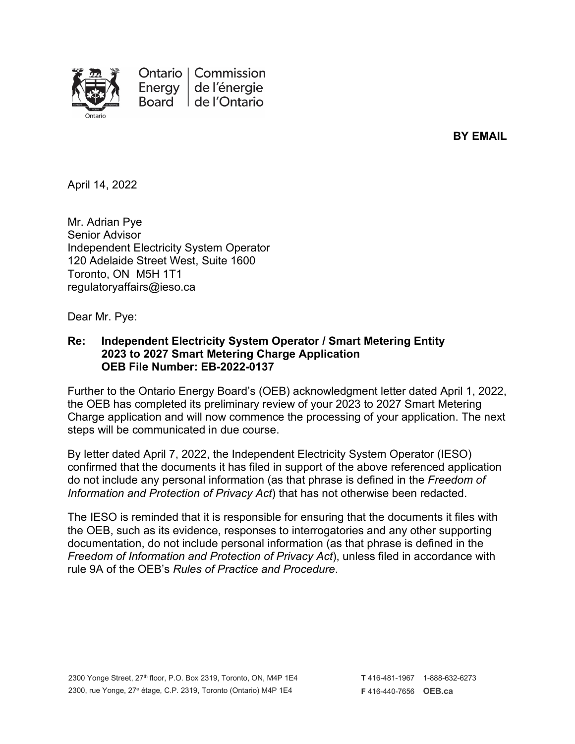

**BY EMAIL**

April 14, 2022

Mr. Adrian Pye Senior Advisor Independent Electricity System Operator 120 Adelaide Street West, Suite 1600 Toronto, ON M5H 1T1 regulatoryaffairs@ieso.ca

Dear Mr. Pye:

## **Re: Independent Electricity System Operator / Smart Metering Entity 2023 to 2027 Smart Metering Charge Application OEB File Number: EB-2022-0137**

Further to the Ontario Energy Board's (OEB) acknowledgment letter dated April 1, 2022, the OEB has completed its preliminary review of your 2023 to 2027 Smart Metering Charge application and will now commence the processing of your application. The next steps will be communicated in due course.

By letter dated April 7, 2022, the Independent Electricity System Operator (IESO) confirmed that the documents it has filed in support of the above referenced application do not include any personal information (as that phrase is defined in the *Freedom of Information and Protection of Privacy Act*) that has not otherwise been redacted.

The IESO is reminded that it is responsible for ensuring that the documents it files with the OEB, such as its evidence, responses to interrogatories and any other supporting documentation, do not include personal information (as that phrase is defined in the *Freedom of Information and Protection of Privacy Act*), unless filed in accordance with rule 9A of the OEB's *Rules of Practice and Procedure*.